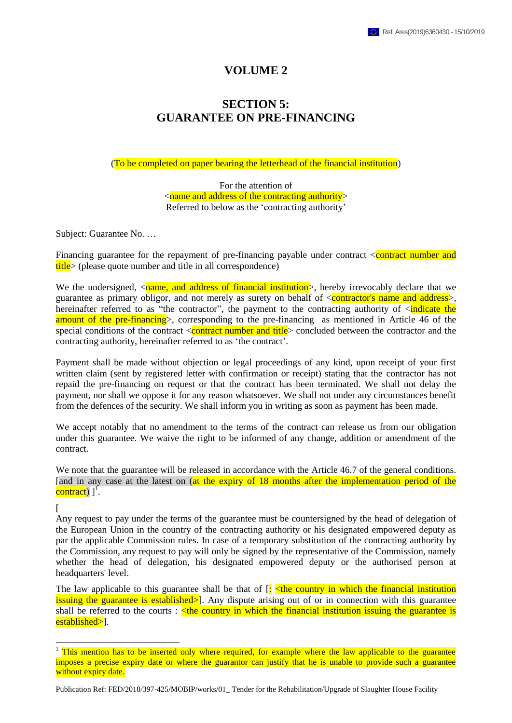## **VOLUME 2**

## **SECTION 5: GUARANTEE ON PRE-FINANCING**

(To be completed on paper bearing the letterhead of the financial institution)

For the attention of <name and address of the contracting authority> Referred to below as the 'contracting authority'

Subject: Guarantee No. …

Financing guarantee for the repayment of pre-financing payable under contract <contract number and title> (please quote number and title in all correspondence)

We the undersigned,  $\langle$ name, and address of financial institution $\rangle$ , hereby irrevocably declare that we guarantee as primary obligor, and not merely as surety on behalf of <contractor's name and address>, hereinafter referred to as "the contractor", the payment to the contracting authority of  $\leq$ indicate the amount of the pre-financing>, corresponding to the pre-financing as mentioned in Article 46 of the special conditions of the contract  $\langle$  contract number and title $\rangle$  concluded between the contractor and the contracting authority, hereinafter referred to as 'the contract'.

Payment shall be made without objection or legal proceedings of any kind, upon receipt of your first written claim (sent by registered letter with confirmation or receipt) stating that the contractor has not repaid the pre-financing on request or that the contract has been terminated. We shall not delay the payment, nor shall we oppose it for any reason whatsoever. We shall not under any circumstances benefit from the defences of the security. We shall inform you in writing as soon as payment has been made.

We accept notably that no amendment to the terms of the contract can release us from our obligation under this guarantee. We waive the right to be informed of any change, addition or amendment of the contract.

We note that the guarantee will be released in accordance with the Article 46.7 of the general conditions. [and in any case at the latest on (at the expiry of 18 months after the implementation period of the contract)  $]^{1}$ .

 $\lceil$ 

 $\overline{a}$ 

Any request to pay under the terms of the guarantee must be countersigned by the head of delegation of the European Union in the country of the contracting authority or his designated empowered deputy as par the applicable Commission rules. In case of a temporary substitution of the contracting authority by the Commission, any request to pay will only be signed by the representative of the Commission, namely whether the head of delegation, his designated empowered deputy or the authorised person at headquarters' level.

The law applicable to this guarantee shall be that of  $\left[\frac{1}{2}\right]$   $\leq$  the country in which the financial institution issuing the guarantee is established>]. Any dispute arising out of or in connection with this guarantee shall be referred to the courts :  $\lt$  the country in which the financial institution issuing the guarantee is established>].

Publication Ref: FED/2018/397-425/MOBIP/works/01\_ Tender for the Rehabilitation/Upgrade of Slaughter House Facility

<sup>&</sup>lt;sup>1</sup> This mention has to be inserted only where required, for example where the law applicable to the guarantee imposes a precise expiry date or where the guarantor can justify that he is unable to provide such a guarantee without expiry date.